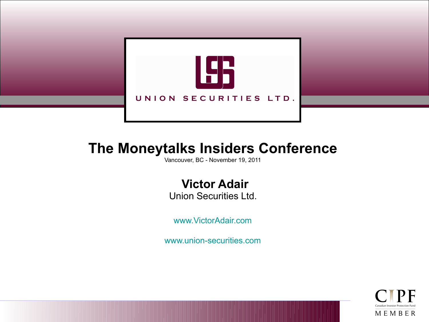

# **The Moneytalks Insiders Conference**

Vancouver, BC - November 19, 2011

**Victor Adair**

Union Securities Ltd.

[www.VictorAdair.com](http://www.victoradair.com/)

[www.union-securities.com](http://www.union-securities.com/)

MEMBER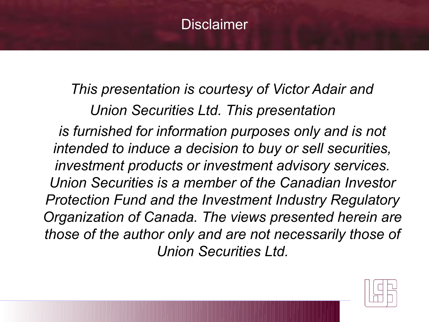# **Disclaimer**

 *This presentation is courtesy of Victor Adair and Union Securities Ltd. This presentation is furnished for information purposes only and is not intended to induce a decision to buy or sell securities, investment products or investment advisory services. Union Securities is a member of the Canadian Investor Protection Fund and the Investment Industry Regulatory Organization of Canada. The views presented herein are those of the author only and are not necessarily those of Union Securities Ltd.*

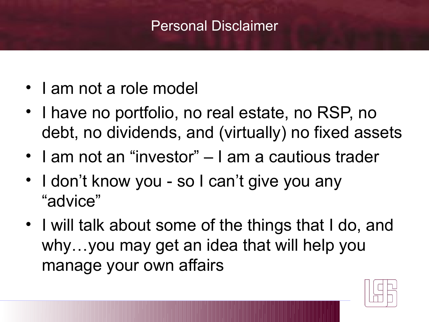# Personal Disclaimer

- I am not a role model
- I have no portfolio, no real estate, no RSP, no debt, no dividends, and (virtually) no fixed assets
- I am not an "investor" I am a cautious trader
- I don't know you so I can't give you any "advice"
- I will talk about some of the things that I do, and why…you may get an idea that will help you manage your own affairs

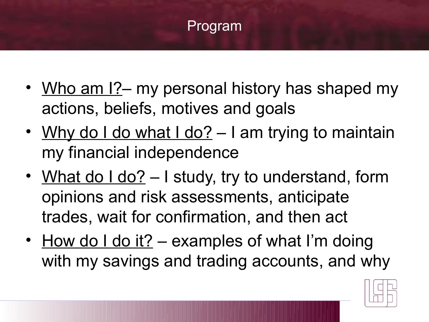

- Who am I? my personal history has shaped my actions, beliefs, motives and goals
- Why do I do what I do?  $-$  I am trying to maintain my financial independence
- What do I do? I study, try to understand, form opinions and risk assessments, anticipate trades, wait for confirmation, and then act
- How do I do it? examples of what I'm doing with my savings and trading accounts, and why

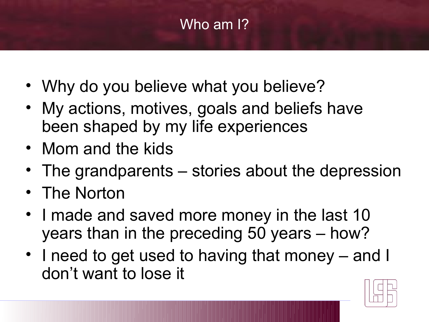# Who am I?

- Why do you believe what you believe?
- My actions, motives, goals and beliefs have been shaped by my life experiences
- Mom and the kids
- The grandparents stories about the depression
- The Norton
- I made and saved more money in the last 10 years than in the preceding 50 years – how?
- I need to get used to having that money and I don't want to lose it

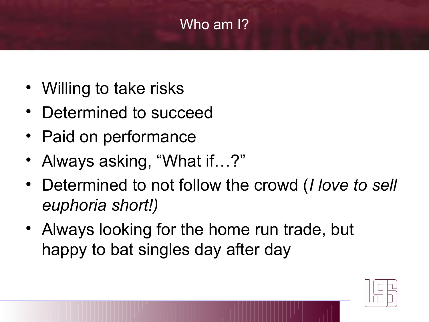# Who am I?

- Willing to take risks
- Determined to succeed
- Paid on performance
- Always asking, "What if…?"
- Determined to not follow the crowd (*I love to sell euphoria short!)*
- Always looking for the home run trade, but happy to bat singles day after day

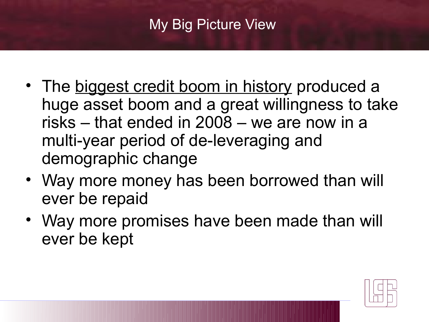# My Big Picture View

- The biggest credit boom in history produced a huge asset boom and a great willingness to take risks – that ended in 2008 – we are now in a multi-year period of de-leveraging and demographic change
- Way more money has been borrowed than will ever be repaid
- Way more promises have been made than will ever be kept

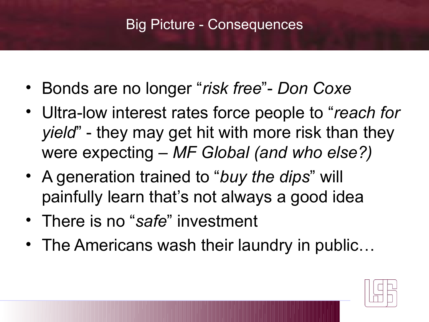# Big Picture - Consequences

- Bonds are no longer "*risk free*"- *Don Coxe*
- Ultra-low interest rates force people to "*reach for yield*" - they may get hit with more risk than they were expecting – *MF Global (and who else?)*
- A generation trained to "*buy the dips*" will painfully learn that's not always a good idea
- There is no "*safe*" investment
- The Americans wash their laundry in public...

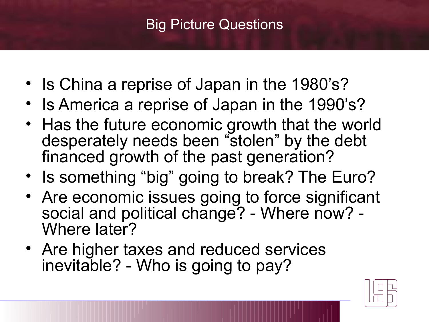# Big Picture Questions

- Is China a reprise of Japan in the 1980's?
- Is America a reprise of Japan in the 1990's?
- Has the future economic growth that the world desperately needs been "stolen" by the debt financed growth of the past generation?
- Is something "big" going to break? The Euro?
- Are economic issues going to force significant social and political change? - Where now? -Where later?
- Are higher taxes and reduced services inevitable? - Who is going to pay?

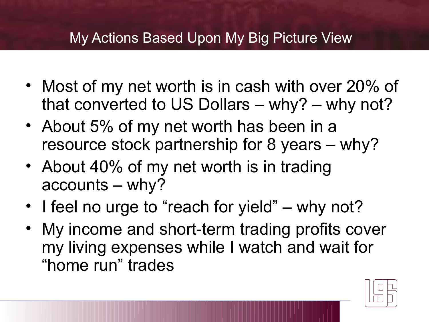#### My Actions Based Upon My Big Picture View

- Most of my net worth is in cash with over 20% of that converted to US Dollars – why? – why not?
- About 5% of my net worth has been in a resource stock partnership for 8 years – why?
- About 40% of my net worth is in trading accounts – why?
- I feel no urge to "reach for yield" why not?
- My income and short-term trading profits cover my living expenses while I watch and wait for "home run" trades

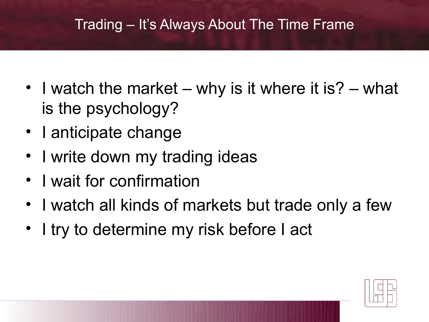## Trading – It's Always About The Time Frame

- I watch the market why is it where it is? what is the psychology?
- I anticipate change
- I write down my trading ideas
- I wait for confirmation
- I watch all kinds of markets but trade only a few
- I try to determine my risk before I act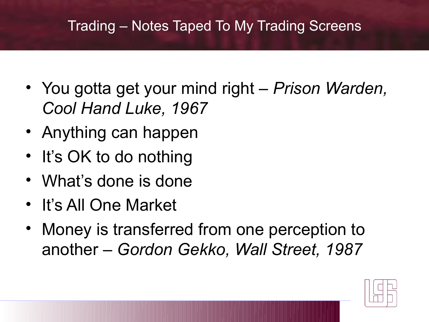#### Trading – Notes Taped To My Trading Screens

- You gotta get your mind right *Prison Warden, Cool Hand Luke, 1967*
- Anything can happen
- It's OK to do nothing
- What's done is done
- It's All One Market
- Money is transferred from one perception to another – *Gordon Gekko, Wall Street, 1987*

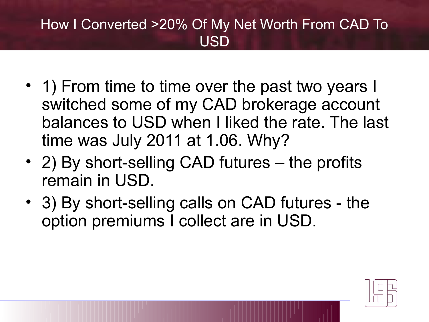# How I Converted >20% Of My Net Worth From CAD To USD

- 1) From time to time over the past two years I switched some of my CAD brokerage account balances to USD when I liked the rate. The last time was July 2011 at 1.06. Why?
- 2) By short-selling CAD futures the profits remain in USD.
- 3) By short-selling calls on CAD futures the option premiums I collect are in USD.

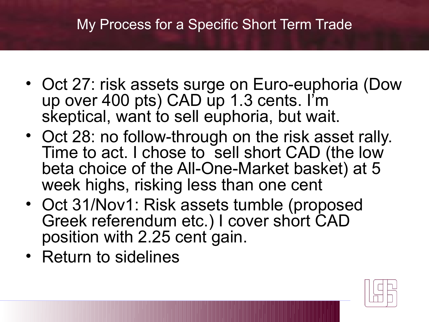#### My Process for a Specific Short Term Trade

- Oct 27: risk assets surge on Euro-euphoria (Dow up over 400 pts) CAD up 1.3 cents. I'm skeptical, want to sell euphoria, but wait.
- Oct 28: no follow-through on the risk asset rally. Time to act. I chose to sell short CAD (the low beta choice of the All-One-Market basket) at 5 week highs, risking less than one cent
- Oct 31/Nov1: Risk assets tumble (proposed Greek referendum etc.) I cover short CAD position with 2.25 cent gain.
- Return to sidelines

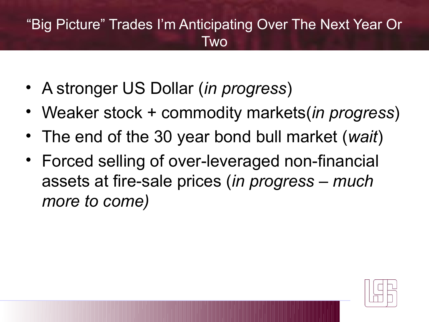# "Big Picture" Trades I'm Anticipating Over The Next Year Or **Two**

- A stronger US Dollar (*in progress*)
- Weaker stock + commodity markets(*in progress*)
- The end of the 30 year bond bull market (*wait*)
- Forced selling of over-leveraged non-financial assets at fire-sale prices (*in progress – much more to come)*

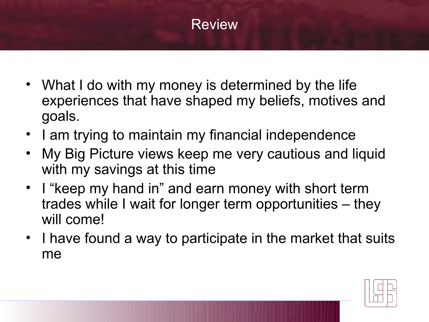# **Review**

- What I do with my money is determined by the life experiences that have shaped my beliefs, motives and goals.
- I am trying to maintain my financial independence
- My Big Picture views keep me very cautious and liquid with my savings at this time
- I "keep my hand in" and earn money with short term trades while I wait for longer term opportunities – they will come!
- I have found a way to participate in the market that suits me